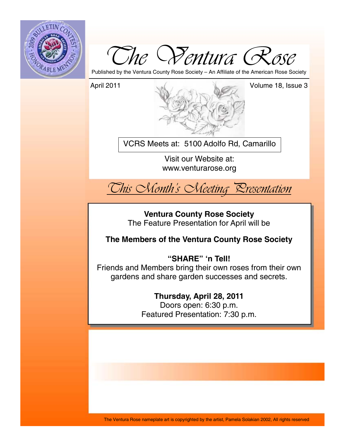



Published by the Ventura County Rose Society – An Affiliate of the American Rose Society

April 2011 Volume 18, Issue 3

VCRS Meets at: 5100 Adolfo Rd, Camarillo

Visit our Website at: www.venturarose.org



**Ventura County Rose Society**  The Feature Presentation for April will be

**The Members of the Ventura County Rose Society**

# **"SHARE" 'n Tell!**

Friends and Members bring their own roses from their own gardens and share garden successes and secrets.

# **Thursday, April 28, 2011**

Doors open: 6:30 p.m. Featured Presentation: 7:30 p.m.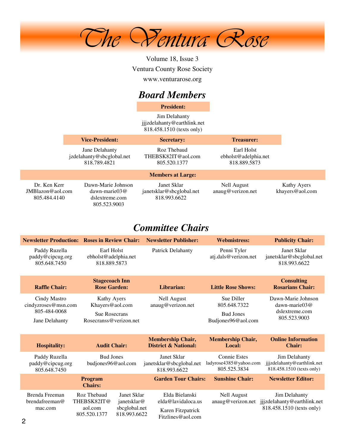

Volume 18, Issue 3 Ventura County Rose Society www.venturarose.org

# *Board Members*

**President:**

Jim Delahanty jjjzdelahanty@earthlink.net 818.458.1510 (texts only)

|                                                     | <b>Vice-President:</b>                                                   | <b>Secretary:</b>                                       | <b>Treasurer:</b>                                  |                                |
|-----------------------------------------------------|--------------------------------------------------------------------------|---------------------------------------------------------|----------------------------------------------------|--------------------------------|
|                                                     | Jane Delahanty<br>jzdelahanty@sbcglobal.net<br>818.789.4821              | Roz Thebaud<br>THEBSK82IT@aol.com<br>805.520.1377       | Earl Holst<br>ebholst@adelphia.net<br>818.889.5873 |                                |
|                                                     |                                                                          | <b>Members at Large:</b>                                |                                                    |                                |
| Dr. Ken Kerr<br>$JMB$ lazon@aol.com<br>805.484.4140 | Dawn-Marie Johnson<br>dawn-marie $03@$<br>dslextreme.com<br>805.523.9003 | Janet Sklar<br>janetsklar@sbcglobal.net<br>818.993.6622 | Nell August<br>anaug@verizon.net                   | Kathy Ayers<br>khayers@aol.com |

# *Committee Chairs*

|                                                     | <b>Newsletter Production: Roses in Review Chair:</b>     | <b>Newsletter Publisher:</b>                                | <b>Webmistress:</b>                                           | <b>Publicity Chair:</b>                                                   |  |
|-----------------------------------------------------|----------------------------------------------------------|-------------------------------------------------------------|---------------------------------------------------------------|---------------------------------------------------------------------------|--|
| Paddy Ruzella<br>paddy@cipcug.org<br>805.648.7450   | Earl Holst<br>ebholst@adelphia.net<br>818.889.5873       | <b>Patrick Delahanty</b>                                    | Penni Tyler<br>atj.dals@verizon.net                           | Janet Sklar<br>janetsklar@sbcglobal.net<br>818.993.6622                   |  |
| <b>Raffle Chair:</b>                                | <b>Stagecoach Inn</b><br><b>Rose Garden:</b>             | Librarian:                                                  | <b>Little Rose Shows:</b>                                     | <b>Consulting</b><br><b>Rosarians Chair:</b>                              |  |
| Cindy Mastro<br>cindyzroses@msn.com<br>805-484-0068 | Kathy Ayers<br>Khayers@aol.com<br><b>Sue Rosecrans</b>   | <b>Nell August</b><br>anaug@verizon.net                     | Sue Diller<br>805.648.7322<br><b>Bud Jones</b>                | Dawn-Marie Johnson<br>dawn-marie $03@$<br>dslextreme.com<br>805.523.9003  |  |
| Jane Delahanty                                      | Rosecranss@verizon.net                                   |                                                             | Budjones96@aol.com                                            |                                                                           |  |
| <b>Hospitality:</b>                                 | <b>Audit Chair:</b>                                      | <b>Membership Chair,</b><br><b>District &amp; National:</b> | <b>Membership Chair,</b><br>Local:                            | <b>Online Information</b><br><b>Chair:</b>                                |  |
| Paddy Ruzella<br>paddy@cipcug.org<br>805.648.7450   | <b>Bud Jones</b><br>budjones96@aol.com                   | Janet Sklar<br>janetsklar@sbcglobal.net<br>818.993.6622     | <b>Connie Estes</b><br>ladyrose4385@yahoo.com<br>805.525.3834 | Jim Delahanty<br>jjjzdelahanty@earthlink.net<br>818.458.1510 (texts only) |  |
|                                                     | <b>Program</b><br><b>Chairs:</b>                         | <b>Garden Tour Chairs:</b>                                  | <b>Sunshine Chair:</b>                                        | <b>Newsletter Editor:</b>                                                 |  |
| Brenda Freeman<br>brendafreeman@                    | Roz Thebaud<br>Janet Sklar<br>THEBSK82IT@<br>janetsklar@ | Elda Bielanski<br>elda@lavidaloca.us                        | <b>Nell August</b><br>anaug@verizon.net                       | Jim Delahanty<br>jjjzdelahanty@earthlink.net<br>818.458.1510 (texts only) |  |
| mac.com<br>∩                                        | sbcglobal.net<br>aol.com<br>805.520.1377<br>818.993.6622 | Karen Fitzpatrick<br>Fitzlines@aol.com                      |                                                               |                                                                           |  |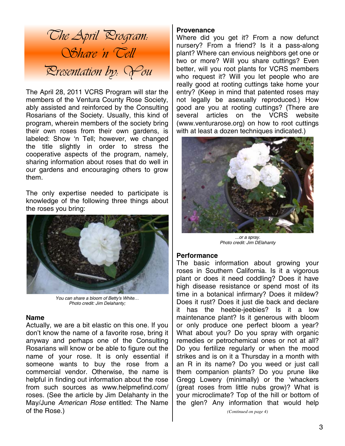

The April 28, 2011 VCRS Program will star the members of the Ventura County Rose Society, ably assisted and reinforced by the Consulting Rosarians of the Society. Usually, this kind of program, wherein members of the society bring their own roses from their own gardens, is labeled: Show 'n Tell; however, we changed the title slightly in order to stress the cooperative aspects of the program, namely, sharing information about roses that do well in our gardens and encouraging others to grow them.

The only expertise needed to participate is knowledge of the following three things about the roses you bring:



*You can share a bloom of Betty's White… Photo credit: Jim Delahanty;* 

### **Name**

Actually, we are a bit elastic on this one. If you don't know the name of a favorite rose, bring it anyway and perhaps one of the Consulting Rosarians will know or be able to figure out the name of your rose. It is only essential if someone wants to buy the rose from a commercial vendor. Otherwise, the name is helpful in finding out information about the rose from such sources as www.helpmefind.com/ roses. (See the article by Jim Delahanty in the May/June *American Rose* entitled: The Name of the Rose.)

### **Provenance**

Where did you get it? From a now defunct nursery? From a friend? Is it a pass-along plant? Where can envious neighbors get one or two or more? Will you share cuttings? Even better, will you root plants for VCRS members who request it? Will you let people who are really good at rooting cuttings take home your entry? (Keep in mind that patented roses may not legally be asexually reproduced.) How good are you at rooting cuttings? (There are several articles on the VCRS website (www.venturarose.org) on how to root cuttings with at least a dozen techniques indicated.)



*...or a spray. Photo credit: Jim DElahanty* 

### **Performance**

The basic information about growing your roses in Southern California. Is it a vigorous plant or does it need coddling? Does it have high disease resistance or spend most of its time in a botanical infirmary? Does it mildew? Does it rust? Does it just die back and declare it has the heebie-jeebies? Is it a low maintenance plant? Is it generous with bloom or only produce one perfect bloom a year? What about you? Do you spray with organic remedies or petrochemical ones or not at all? Do you fertilize regularly or when the mood strikes and is on it a Thursday in a month with an R in its name? Do you weed or just call them companion plants? Do you prune like Gregg Lowery (minimally) or the 'whackers (great roses from little nubs grow)? What is your microclimate? Top of the hill or bottom of the glen? Any information that would help

*(Continued on page 4)*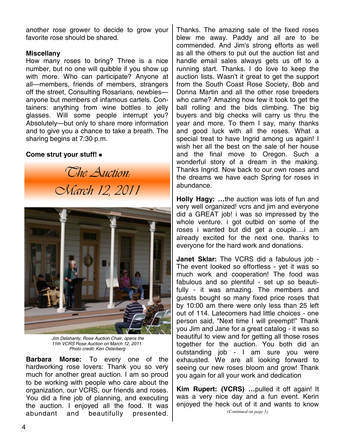another rose grower to decide to grow your favorite rose should be shared.

### **Miscellany**

How many roses to bring? Three is a nice number, but no one will quibble if you show up with more. Who can participate? Anyone at all—members, friends of members, strangers off the street, Consulting Rosarians, newbies anyone but members of infamous cartels. Containers: anything from wine bottles to jelly glasses. Will some people interrupt you? Absolutely—but only to share more information and to give you a chance to take a breath. The sharing begins at 7:30 p.m.

### **Come strut your stuff!**

*The Auction: March 12, 2011* 



 *Jim Delahanty, Rose Auction Chair, opens the 11th VCRS Rose Auction on March 12, 2011. Photo credit: Ken Osterberg* 

**Barbara Morse:** To every one of the hardworking rose lovers: Thank you so very much for another great auction. I am so proud to be working with people who care about the organization, our VCRS, our friends and roses. You did a fine job of planning, and executing the auction. I enjoyed all the food. It was abundant and beautifully presented.

Thanks. The amazing sale of the fixed roses blew me away. Paddy and all are to be commended. And Jim's strong efforts as well as all the others to put out the auction list and handle email sales always gets us off to a running start. Thanks. I do love to keep the auction lists. Wasn't it great to get the support from the South Coast Rose Society, Bob and Donna Martin and all the other rose breeders who came? Amazing how few it took to get the ball rolling and the bids climbing. The big buyers and big checks will carry us thru the year and more. To them I say, many thanks and good luck with all the roses. What a special treat to have Ingrid among us again! I wish her all the best on the sale of her house and the final move to Oregon. Such a wonderful story of a dream in the making. Thanks Ingrid. Now back to our own roses and the dreams we have each Spring for roses in abundance.

**Holly Hagy: …**the auction was lots of fun and very well organized! vcrs and jim and everyone did a GREAT job! i was so impressed by the whole venture. i got outbid on some of the roses i wanted but did get a couple....i am already excited for the next one. thanks to everyone for the hard work and donations.

**Janet Sklar:** The VCRS did a fabulous job - The event looked so effortless - yet it was so much work and cooperation! The food was fabulous and so plentiful - set up so beautifully - it was amazing. The members and guests bought so many fixed price roses that by 10:00 am there were only less than 25 left out of 114. Latecomers had little choices - one person said, "Next time I will preempt!" Thank you Jim and Jane for a great catalog - it was so beautiful to view and for getting all those roses together for the auction. You both did an outstanding job - I am sure you were exhausted. We are all looking forward to seeing our new roses bloom and grow! Thank you again for all your work and dedication

**Kim Rupert: (VCRS) …**pulled it off again! It was a very nice day and a fun event. Kerin enjoyed the heck out of it and wants to know *(Continued on page 5)*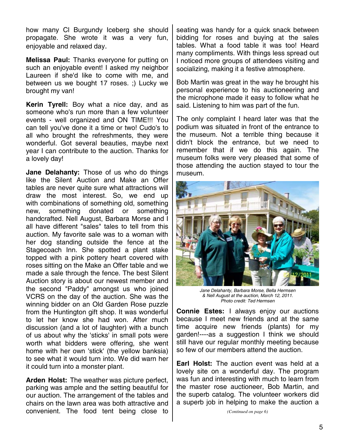how many Cl Burgundy Iceberg she should propagate. She wrote it was a very fun, enjoyable and relaxed day.

**Melissa Paul:** Thanks everyone for putting on such an enjoyable event! I asked my neighbor Laureen if she'd like to come with me, and between us we bought 17 roses. ;) Lucky we brought my van!

**Kerin Tyrell:** Boy what a nice day, and as someone who's run more than a few volunteer events - well organized and ON TIME!!! You can tell you've done it a time or two! Cudo's to all who brought the refreshments, they were wonderful. Got several beauties, maybe next year I can contribute to the auction. Thanks for a lovely day!

**Jane Delahanty:** Those of us who do things like the Silent Auction and Make an Offer tables are never quite sure what attractions will draw the most interest. So, we end up with combinations of something old, something new, something donated or something handcrafted. Nell August, Barbara Morse and I all have different "sales" tales to tell from this auction. My favorite sale was to a woman with her dog standing outside the fence at the Stagecoach Inn. She spotted a plant stake topped with a pink pottery heart covered with roses sitting on the Make an Offer table and we made a sale through the fence. The best Silent Auction story is about our newest member and the second "Paddy" amongst us who joined VCRS on the day of the auction. She was the winning bidder on an Old Garden Rose puzzle from the Huntington gift shop. It was wonderful to let her know she had won. After much discussion (and a lot of laughter) with a bunch of us about why the 'sticks' in small pots were worth what bidders were offering, she went home with her own 'stick' (the yellow banksia) to see what it would turn into. We did warn her it could turn into a monster plant.

**Arden Holst:** The weather was picture perfect, parking was ample and the setting beautiful for our auction. The arrangement of the tables and chairs on the lawn area was both attractive and convenient. The food tent being close to seating was handy for a quick snack between bidding for roses and buying at the sales tables. What a food table it was too! Heard many compliments. With things less spread out I noticed more groups of attendees visiting and socializing, making it a festive atmosphere.

Bob Martin was great in the way he brought his personal experience to his auctioneering and the microphone made it easy to follow what he said. Listening to him was part of the fun.

The only complaint I heard later was that the podium was situated in front of the entrance to the museum. Not a terrible thing because it didn't block the entrance, but we need to remember that if we do this again. The museum folks were very pleased that some of those attending the auction stayed to tour the museum.



*Jane Delahanty, Barbara Morse, Bella Hermsen & Nell August at the auction, March 12, 2011. Photo credit: Ted Hermsen* 

**Connie Estes:** I always enjoy our auctions because I meet new friends and at the same time acquire new friends (plants) for my garden!----as a suggestion I think we should still have our regular monthly meeting because so few of our members attend the auction.

**Earl Holst:** The auction event was held at a lovely site on a wonderful day. The program was fun and interesting with much to learn from the master rose auctioneer, Bob Martin, and the superb catalog. The volunteer workers did a superb job in helping to make the auction a

*(Continued on page 6)*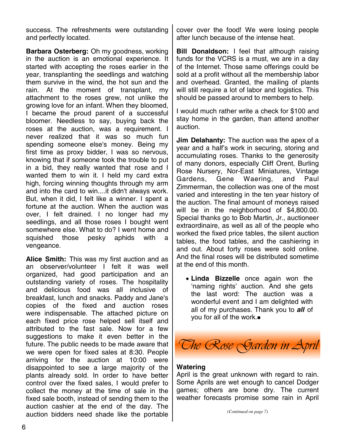success. The refreshments were outstanding and perfectly located.

**Barbara Osterberg:** Oh my goodness, working in the auction is an emotional experience. It started with accepting the roses earlier in the year, transplanting the seedlings and watching them survive in the wind, the hot sun and the rain. At the moment of transplant, my attachment to the roses grew, not unlike the growing love for an infant. When they bloomed, I became the proud parent of a successful bloomer. Needless to say, buying back the roses at the auction, was a requirement. I never realized that it was so much fun spending someone else's money. Being my first time as proxy bidder, I was so nervous, knowing that if someone took the trouble to put in a bid, they really wanted that rose and I wanted them to win it. I held my card extra high, forcing winning thoughts through my arm and into the card to win....it didn't always work. But, when it did, I felt like a winner. I spent a fortune at the auction. When the auction was over, I felt drained. I no longer had my seedlings, and all those roses I bought went somewhere else. What to do? I went home and squished those pesky aphids with a vengeance.

**Alice Smith:** This was my first auction and as an observer/volunteer I felt it was well organized, had good participation and an outstanding variety of roses. The hospitality and delicious food was all inclusive of breakfast, lunch and snacks. Paddy and Jane's copies of the fixed and auction roses were indispensable. The attached picture on each fixed price rose helped sell itself and attributed to the fast sale. Now for a few suggestions to make it even better in the future. The public needs to be made aware that we were open for fixed sales at 8:30. People arriving for the auction at 10:00 were disappointed to see a large majority of the plants already sold. In order to have better control over the fixed sales, I would prefer to collect the money at the time of sale in the fixed sale booth, instead of sending them to the auction cashier at the end of the day. The auction bidders need shade like the portable cover over the food! We were losing people after lunch because of the intense heat.

**Bill Donaldson:** I feel that although raising funds for the VCRS is a must, we are in a day of the Internet. Those same offerings could be sold at a profit without all the membership labor and overhead. Granted, the mailing of plants will still require a lot of labor and logistics. This should be passed around to members to help.

I would much rather write a check for \$100 and stay home in the garden, than attend another auction.

**Jim Delahanty:** The auction was the apex of a year and a half's work in securing, storing and accumulating roses. Thanks to the generosity of many donors, especially Cliff Orent, Burling Rose Nursery, Nor-East Miniatures, Vintage Gardens, Gene Waering, and Paul Zimmerman, the collection was one of the most varied and interesting in the ten year history of the auction. The final amount of moneys raised will be in the neighborhood of \$4,800.00. Special thanks go to Bob Martin, Jr., auctioneer extraordinaire, as well as all of the people who worked the fixed price tables, the silent auction tables, the food tables, and the cashiering in and out. About forty roses were sold online. And the final roses will be distributed sometime at the end of this month.

• **Linda Bizzelle** once again won the 'naming rights' auction. And she gets the last word: The auction was a wonderful event and I am delighted with all of my purchases. Thank you to *all* of you for all of the work.



### **Watering**

April is the great unknown with regard to rain. Some Aprils are wet enough to cancel Dodger games; others are bone dry. The current weather forecasts promise some rain in April

*(Continued on page 7)*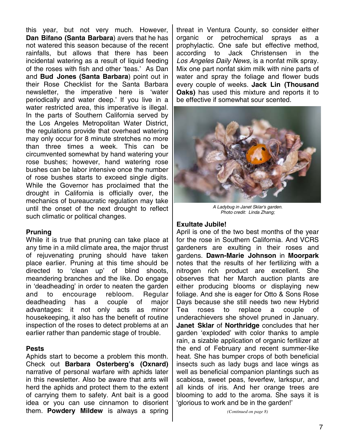this year, but not very much. However, **Dan Bifano (Santa Barbara**) avers that he has not watered this season because of the recent rainfalls, but allows that there has been incidental watering as a result of liquid feeding of the roses with fish and other 'teas.' As Dan and **Bud Jones (Santa Barbara**) point out in their Rose Checklist for the Santa Barbara newsletter, the imperative here is 'water periodically and water deep.' If you live in a water restricted area, this imperative is illegal. In the parts of Southern California served by the Los Angeles Metropolitan Water District, the regulations provide that overhead watering may only occur for 8 minute stretches no more than three times a week. This can be circumvented somewhat by hand watering your rose bushes; however, hand watering rose bushes can be labor intensive once the number of rose bushes starts to exceed single digits. While the Governor has proclaimed that the drought in California is officially over, the mechanics of bureaucratic regulation may take until the onset of the next drought to reflect such climatic or political changes.

### **Pruning**

While it is true that pruning can take place at any time in a mild climate area, the major thrust of rejuvenating pruning should have taken place earlier. Pruning at this time should be directed to 'clean up' of blind shoots, meandering branches and the like. Do engage in 'deadheading' in order to neaten the garden and to encourage rebloom. Regular deadheading has a couple of major advantages: it not only acts as minor housekeeping, it also has the benefit of routine inspection of the roses to detect problems at an earlier rather than pandemic stage of trouble.

## **Pests**

Aphids start to become a problem this month. Check out **Barbara Osterberg's (Oxnard)** narrative of personal warfare with aphids later in this newsletter. Also be aware that ants will herd the aphids and protect them to the extent of carrying them to safety. Ant bait is a good idea or you can use cinnamon to disorient them. **Powdery Mildew** is always a spring threat in Ventura County, so consider either organic or petrochemical sprays as a prophylactic. One safe but effective method, according to Jack Christensen in the *Los Angeles Daily News,* is a nonfat milk spray. Mix one part nonfat skim milk with nine parts of water and spray the foliage and flower buds every couple of weeks. **Jack Lin (Thousand Oaks)** has used this mixture and reports it to be effective if somewhat sour scented.



*A Ladybug in Janet Sklar's garden. Photo credit: Linda Zhang;* 

### **Exultate Jubile!**

April is one of the two best months of the year for the rose in Southern California. And VCRS gardeners are exulting in their roses and gardens. **Dawn-Marie Johnson** in **Moorpark** notes that the results of her fertilizing with a nitrogen rich product are excellent. She observes that her March auction plants are either producing blooms or displaying new foliage. And she is eager for Otto & Sons Rose Days because she still needs two new Hybrid Tea roses to replace a couple of underachievers she shovel pruned in January. **Janet Sklar** of **Northridge** concludes that her garden 'exploded' with color thanks to ample rain, a sizable application of organic fertilizer at the end of February and recent summer-like heat. She has bumper crops of both beneficial insects such as lady bugs and lace wings as well as beneficial companion plantings such as scabiosa, sweet peas, feverfew, larkspur, and all kinds of iris. And her orange trees are blooming to add to the aroma. She says it is 'glorious to work and be in the garden!'

*(Continued on page 8)*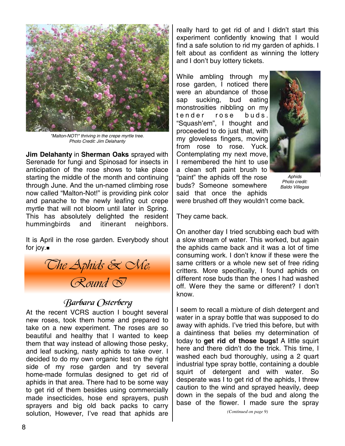

*"Malton-NOT!" thriving in the crepe myrtle tree. Photo Credit: Jim Delahanty* 

**Jim Delahanty** in **Sherman Oaks** sprayed with Serenade for fungi and Spinosad for insects in anticipation of the rose shows to take place starting the middle of the month and continuing through June. And the un-named climbing rose now called "Malton-Not!" is providing pink color and panache to the newly leafing out crepe myrtle that will not bloom until later in Spring. This has absolutely delighted the resident hummingbirds and itinerant neighbors.

It is April in the rose garden. Everybody shout for joy.



# Barbara Osterberg

At the recent VCRS auction I bought several new roses, took them home and prepared to take on a new experiment. The roses are so beautiful and healthy that I wanted to keep them that way instead of allowing those pesky, and leaf sucking, nasty aphids to take over. I decided to do my own organic test on the right side of my rose garden and try several home-made formulas designed to get rid of aphids in that area. There had to be some way to get rid of them besides using commercially made insecticides, hose end sprayers, push sprayers and big old back packs to carry solution, However, I've read that aphids are

really hard to get rid of and I didn't start this experiment confidently knowing that I would find a safe solution to rid my garden of aphids. I felt about as confident as winning the lottery and I don't buy lottery tickets.

While ambling through my rose garden, I noticed there were an abundance of those sap sucking, bud eating monstrosities nibbling on my tender rose buds. "Squash'em", I thought and proceeded to do just that, with my gloveless fingers, moving from rose to rose. Yuck. Contemplating my next move, I remembered the hint to use a clean soft paint brush to "paint" the aphids off the rose buds? Someone somewhere said that once the aphids



*Aphids Photo credit: Baldo Villegas* 

were brushed off they wouldn't come back.

They came back.

On another day I tried scrubbing each bud with a slow stream of water. This worked, but again the aphids came back and it was a lot of time consuming work. I don't know if these were the same critters or a whole new set of free riding critters. More specifically, I found aphids on different rose buds than the ones I had washed off. Were they the same or different? I don't know.

I seem to recall a mixture of dish detergent and water in a spray bottle that was supposed to do away with aphids. I've tried this before, but with a daintiness that belies my determination of today to **get rid of those bugs!** A little squirt here and there didn't do the trick. This time, I washed each bud thoroughly, using a 2 quart industrial type spray bottle, containing a double squirt of detergent and with water. So desperate was I to get rid of the aphids, I threw caution to the wind and sprayed heavily, deep down in the sepals of the bud and along the base of the flower. I made sure the spray

*(Continued on page 9)*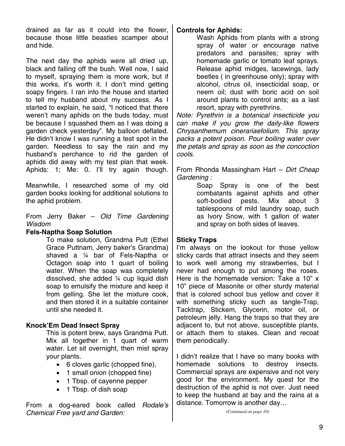drained as far as it could into the flower, because those little beasties scamper about and hide.

The next day the aphids were all dried up, black and falling off the bush. Well now, I said to myself, spraying them is more work, but if this works, it's worth it. I don't mind getting soapy fingers. I ran into the house and started to tell my husband about my success. As I started to explain, he said, "I noticed that there weren't many aphids on the buds today, must be because I squashed them as I was doing a garden check yesterday". My balloon deflated. He didn't know I was running a test spot in the garden. Needless to say the rain and my husband's perchance to rid the garden of aphids did away with my test plan that week. Aphids: 1; Me: 0. I'll try again though.

Meanwhile, I researched some of my old garden books looking for additional solutions to the aphid problem.

From Jerry Baker – *Old Time Gardening Wisdom*

### **Fels-Naptha Soap Solution**

To make solution, Grandma Putt (Ethel Grace Puttnam, Jerry baker's Grandma) shaved a ¼ bar of Fels-Naptha or Octagon soap into 1 quart of boiling water. When the soap was completely dissolved, she added ¼ cup liquid dish soap to emulsify the mixture and keep it from gelling. She let the mixture cook, and then stored it in a suitable container until she needed it.

## **Knock'Em Dead Insect Spray**

This is potent brew, says Grandma Putt. Mix all together in 1 quart of warm water. Let sit overnight, then mist spray your plants.

- 6 cloves garlic (chopped fine),
- 1 small onion (chopped fine)
- 1 Tbsp. of cayenne pepper
- 1 Tbsp. of dish soap

From a dog-eared book called *Rodale's Chemical Free yard and Garden:* 

## **Controls for Aphids:**

Wash Aphids from plants with a strong spray of water or encourage native predators and parasites; spray with homemade garlic or tomato leaf sprays. Release aphid midges, lacewings, lady beetles ( in greenhouse only); spray with alcohol, citrus oil, insecticidal soap, or neem oil; dust with boric acid on soil around plants to control ants; as a last resort, spray with pyrethrins.

*Note: Pyrethrin is a botanical insecticide you can make if you grow the daily-like flowers Chrysanthemum cinerariaefolium. This spray packs a potent poison. Pour boiling water over the petals and spray as soon as the concoction cools.* 

From Rhonda Massingham Hart – *Dirt Cheap Gardening :* 

Soap Spray is one of the best combatants against aphids and other soft-bodied pests. Mix about 3 tablespoons of mild laundry soap, such as Ivory Snow, with 1 gallon of water and spray on both sides of leaves.

## **Sticky Traps**

I'm always on the lookout for those yellow sticky cards that attract insects and they seem to work well among my strawberries, but I never had enough to put among the roses. Here is the homemade version: Take a 10" x 10" piece of Masonite or other sturdy material that is colored school bus yellow and cover it with something sticky such as tangle-Trap, Tacktrap, Stickem, Glycerin, motor oil, or petroleum jelly. Hang the traps so that they are adjacent to, but not above, susceptible plants, or attach them to stakes. Clean and recoat them periodically.

I didn't realize that I have so many books with homemade solutions to destroy insects. Commercial sprays are expensive and not very good for the environment. My quest for the destruction of the aphid is not over. Just need to keep the husband at bay and the rains at a distance. Tomorrow is another day…

*(Continued on page 10)*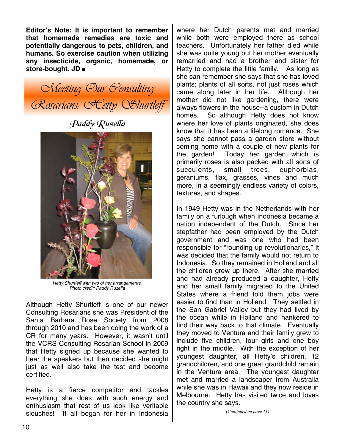**Editor's Note: It is important to remember that homemade remedies are toxic and potentially dangerous to pets, children, and humans. So exercise caution when utilizing any insecticide, organic, homemade, or store-bought. JD** 

*Meeting Our Consulting Rosarians: Hetty Shurtleff* 

Paddy Ruzella



*Hetty Shurtleff with two of her arrangements. Photo credit: Paddy Ruzella* 

Although Hetty Shurtleff is one of our newer Consulting Rosarians she was President of the Santa Barbara Rose Society from 2008 through 2010 and has been doing the work of a CR for many years. However, it wasn't until the VCRS Consulting Rosarian School in 2009 that Hetty signed up because she wanted to hear the speakers but then decided she might just as well also take the test and become certified.

Hetty is a fierce competitor and tackles everything she does with such energy and enthusiasm that rest of us look like veritable slouches! It all began for her in Indonesia

where her Dutch parents met and married while both were employed there as school teachers. Unfortunately her father died while she was quite young but her mother eventually remarried and had a brother and sister for Hetty to complete the little family. As long as she can remember she says that she has loved plants; plants of all sorts, not just roses which came along later in her life. Although her mother did not like gardening, there were always flowers in the house--a custom in Dutch homes. So although Hetty does not know where her love of plants originated, she does know that it has been a lifelong romance. She says she cannot pass a garden store without coming home with a couple of new plants for the garden! Today her garden which is primarily roses is also packed with all sorts of succulents, small trees, euphorbias, geraniums, flax, grasses, vines and much more, in a seemingly endless variety of colors, textures, and shapes.

In 1949 Hetty was in the Netherlands with her family on a furlough when Indonesia became a nation independent of the Dutch. Since her stepfather had been employed by the Dutch government and was one who had been responsible for "rounding up revolutionaries," it was decided that the family would not return to Indonesia. So they remained in Holland and all the children grew up there. After she married and had already produced a daughter, Hetty and her small family migrated to the United States where a friend told them jobs were easier to find than in Holland. They settled in the San Gabriel Valley but they had lived by the ocean while in Holland and hankered to find their way back to that climate. Eventually they moved to Ventura and their family grew to include five children, four girls and one boy right in the middle. With the exception of her youngest daughter, all Hetty's children, 12 grandchildren, and one great grandchild remain in the Ventura area. The youngest daughter met and married a landscaper from Australia while she was in Hawaii and they now reside in Melbourne. Hetty has visited twice and loves the country she says.

*(Continued on page 11)*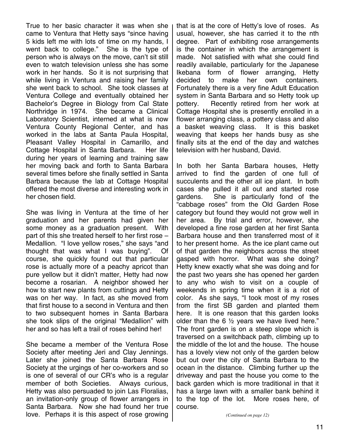True to her basic character it was when she came to Ventura that Hetty says "since having 5 kids left me with lots of time on my hands, I went back to college." She is the type of person who is always on the move, can't sit still even to watch television unless she has some work in her hands. So it is not surprising that while living in Ventura and raising her family she went back to school. She took classes at Ventura College and eventually obtained her Bachelor's Degree in Biology from Cal State Northridge in 1974. She became a Clinical Laboratory Scientist, interned at what is now Ventura County Regional Center, and has worked in the labs at Santa Paula Hospital, Pleasant Valley Hospital in Camarillo, and Cottage Hospital in Santa Barbara. Her life during her years of learning and training saw her moving back and forth to Santa Barbara several times before she finally settled in Santa Barbara because the lab at Cottage Hospital offered the most diverse and interesting work in her chosen field.

She was living in Ventura at the time of her graduation and her parents had given her some money as a graduation present. With part of this she treated herself to her first rose – Medallion. "I love yellow roses," she says "and thought that was what I was buying". Of course, she quickly found out that particular rose is actually more of a peachy apricot than pure yellow but it didn't matter, Hetty had now become a rosarian. A neighbor showed her how to start new plants from cuttings and Hetty was on her way. In fact, as she moved from that first house to a second in Ventura and then to two subsequent homes in Santa Barbara she took slips of the original "Medallion" with her and so has left a trail of roses behind her!

She became a member of the Ventura Rose Society after meeting Jeri and Clay Jennings. Later she joined the Santa Barbara Rose Society at the urgings of her co-workers and so is one of several of our CR's who is a regular member of both Societies. Always curious, Hetty was also persuaded to join Las Floralias, an invitation-only group of flower arrangers in Santa Barbara. Now she had found her true love. Perhaps it is this aspect of rose growing that is at the core of Hetty's love of roses. As usual, however, she has carried it to the nth degree. Part of exhibiting rose arrangements is the container in which the arrangement is made. Not satisfied with what she could find readily available, particularly for the Japanese Ikebana form of flower arranging, Hetty decided to make her own containers. Fortunately there is a very fine Adult Education system in Santa Barbara and so Hetty took up pottery. Recently retired from her work at Cottage Hospital she is presently enrolled in a flower arranging class, a pottery class and also a basket weaving class. It is this basket weaving that keeps her hands busy as she finally sits at the end of the day and watches television with her husband, David.

In both her Santa Barbara houses, Hetty arrived to find the garden of one full of succulents and the other all ice plant. In both cases she pulled it all out and started rose gardens. She is particularly fond of the "cabbage roses" from the Old Garden Rose category but found they would not grow well in her area. By trial and error, however, she developed a fine rose garden at her first Santa Barbara house and then transferred most of it to her present home. As the ice plant came out of that garden the neighbors across the street gasped with horror. What was she doing? Hetty knew exactly what she was doing and for the past two years she has opened her garden to any who wish to visit on a couple of weekends in spring time when it is a riot of color. As she says, "I took most of my roses from the first SB garden and planted them here. It is one reason that this garden looks older than the 6  $\frac{1}{2}$  years we have lived here." The front garden is on a steep slope which is traversed on a switchback path, climbing up to the middle of the lot and the house. The house has a lovely view not only of the garden below but out over the city of Santa Barbara to the ocean in the distance. Climbing further up the driveway and past the house you come to the back garden which is more traditional in that it has a large lawn with a smaller bank behind it to the top of the lot. More roses here, of course.

*(Continued on page 12)*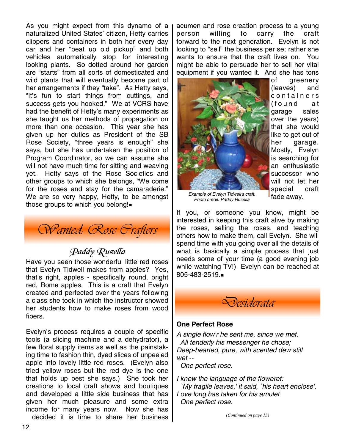As you might expect from this dynamo of a naturalized United States' citizen, Hetty carries clippers and containers in both her every day car and her "beat up old pickup" and both vehicles automatically stop for interesting looking plants. So dotted around her garden are "starts" from all sorts of domesticated and wild plants that will eventually become part of her arrangements if they "take". As Hetty says, "It's fun to start things from cuttings, and success gets you hooked." We at VCRS have had the benefit of Hetty's many experiments as she taught us her methods of propagation on more than one occasion. This year she has given up her duties as President of the SB Rose Society, "three years is enough" she says, but she has undertaken the position of Program Coordinator, so we can assume she will not have much time for sitting and weaving yet. Hetty says of the Rose Societies and other groups to which she belongs, "We come for the roses and stay for the camaraderie." We are so very happy, Hetty, to be amongst those groups to which you belong!



# Paddy Ruzella

Have you seen those wonderful little red roses that Evelyn Tidwell makes from apples? Yes, that's right, apples - specifically round, bright red, Rome apples. This is a craft that Evelyn created and perfected over the years following a class she took in which the instructor showed her students how to make roses from wood fibers.

Evelyn's process requires a couple of specific tools (a slicing machine and a dehydrator), a few floral supply items as well as the painstaking time to fashion thin, dyed slices of unpeeled apple into lovely little red roses. (Evelyn also tried yellow roses but the red dye is the one that holds up best she says.) She took her creations to local craft shows and boutiques and developed a little side business that has given her much pleasure and some extra income for many years now. Now she has decided it is time to share her business acumen and rose creation process to a young person willing to carry the craft forward to the next generation. Evelyn is not looking to "sell" the business per se; rather she wants to ensure that the craft lives on. You might be able to persuade her to sell her vital equipment if you wanted it. And she has tons



of greenery (leaves) and c o n t a i n e r s (found at garage sales over the years) that she would like to get out of her garage. Mostly, Evelyn is searching for an enthusiastic successor who will not let her special craft fade away.

*Example of Evelyn Tidwell's craft. Photo credit: Paddy Ruzella* 

If you, or someone you know, might be interested in keeping this craft alive by making the roses, selling the roses, and teaching others how to make them, call Evelyn. She will spend time with you going over all the details of what is basically a simple process that just needs some of your time (a good evening job while watching TV!) Evelyn can be reached at 805-483-2519.



### **One Perfect Rose**

*A single flow'r he sent me, since we met. All tenderly his messenger he chose; Deep-hearted, pure, with scented dew still wet --* 

 *One perfect rose.* 

*I knew the language of the floweret: `My fragile leaves,' it said, `his heart enclose'. Love long has taken for his amulet One perfect rose.* 

*(Continued on page 13)*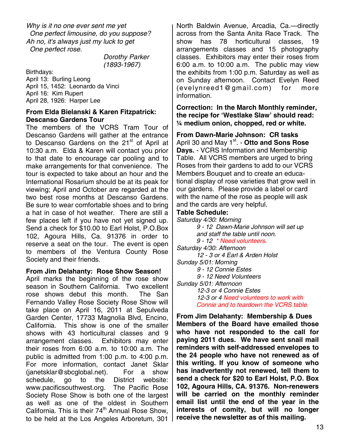*Why is it no one ever sent me yet One perfect limousine, do you suppose? Ah no, it's always just my luck to get One perfect rose.* 

 *Dorothy Parker (1893-1967)* 

Birthdays: April 13: Burling Leong April 15, 1452: Leonardo da Vinci April 16: Kim Rupert April 28, 1926: Harper Lee

### **From Elda Bielanski & Karen Fitzpatrick: Descanso Gardens Tour**

The members of the VCRS Tram Tour of Descanso Gardens will gather at the entrance to Descanso Gardens on the 21<sup>st</sup> of April at 10:30 a.m. Elda & Karen will contact you prior to that date to encourage car pooling and to make arrangements for that convenience. The tour is expected to take about an hour and the International Rosarium should be at its peak for viewing; April and October are regarded at the two best rose months at Descanso Gardens. Be sure to wear comfortable shoes and to bring a hat in case of hot weather. There are still a few places left if you have not yet signed up. Send a check for \$10.00 to Earl Holst, P.O.Box 102, Agoura Hills, Ca. 91376 in order to reserve a seat on the tour. The event is open to members of the Ventura County Rose Society and their friends.

### **From Jim Delahanty: Rose Show Season!**

April marks the beginning of the rose show season in Southern California. Two excellent rose shows debut this month. The San Fernando Valley Rose Society Rose Show will take place on April 16, 2011 at Sepulveda Garden Center, 17733 Magnolia Blvd, Encino, California. This show is one of the smaller shows with 43 horticultural classes and 9 arrangement classes. Exhibitors may enter their roses from 6:00 a.m. to 10:00 a.m. The public is admitted from 1:00 p.m. to 4:00 p.m. For more information, contact Janet Sklar (janetsklar@sbcglobal.net). For a show schedule, go to the District website: www.pacificsouthwest.org. The Pacific Rose Society Rose Show is both one of the largest as well as one of the oldest in Southern California. This is their 74<sup>th</sup> Annual Rose Show, to be held at the Los Angeles Arboretum, 301

North Baldwin Avenue, Arcadia, Ca.—directly across from the Santa Anita Race Track. The show has 78 horticultural classes, 19 arrangements classes and 15 photography classes. Exhibitors may enter their roses from 6:00 a.m. to 10:00 a.m. The public may view the exhibits from 1:00 p.m. Saturday as well as on Sunday afternoon. Contact Evelyn Reed (evelynreed1@gmail.com) for more information.

**Correction: In the March Monthly reminder, the recipe for 'Westlake Slaw' should read: ¼ medium onion, chopped, red or white.** 

**From Dawn-Marie Johnson: CR tasks**  April 30 and May 1<sup>st</sup>. - Otto and Sons Rose **Days.** - VCRS Information and Membership Table. All VCRS members are urged to bring Roses from their gardens to add to our VCRS Members Bouquet and to create an educational display of rose varieties that grow well in our gardens. Please provide a label or card with the name of the rose as people will ask and the cards are very helpful.

### **Table Schedule:**

*Saturday 4/30: Morning 9 - 12 Dawn-Marie Johnson will set up and staff the table until noon. 9 - 12 \* Need volunteers. Saturday 4/30: Afternoon 12 - 3 or 4 Earl & Arden Holst Sunday 5/01: Morning 9 - 12 Connie Estes 9 - 12 Need Volunteers Sunday 5/01: Afternoon 12-3 or 4 Connie Estes 12-3 or 4 Need volunteers to work with Connie and to teardown the VCRS table.*

**From Jim Delahanty: Membership & Dues Members of the Board have emailed those who have not responded to the call for paying 2011 dues. We have sent snail mail reminders with self-addressed envelopes to the 24 people who have not renewed as of this writing. If you know of someone who has inadvertently not renewed, tell them to send a check for \$20 to Earl Holst, P.O. Box 102, Agoura Hills, CA. 91376. Non-renewers will be carried on the monthly reminder email list until the end of the year in the interests of comity, but will no longer receive the newsletter as of this mailing.**